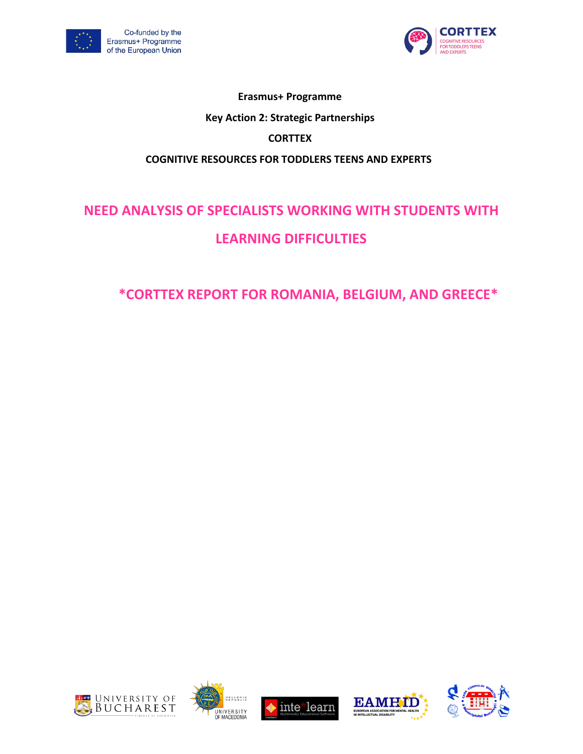



## **Erasmus+ Programme Key Action 2: Strategic Partnerships CORTTEX COGNITIVE RESOURCES FOR TODDLERS TEENS AND EXPERTS**

# **NEED ANALYSIS OF SPECIALISTS WORKING WITH STUDENTS WITH LEARNING DIFFICULTIES**

## **\*CORTTEX REPORT FOR ROMANIA, BELGIUM, AND GREECE\***









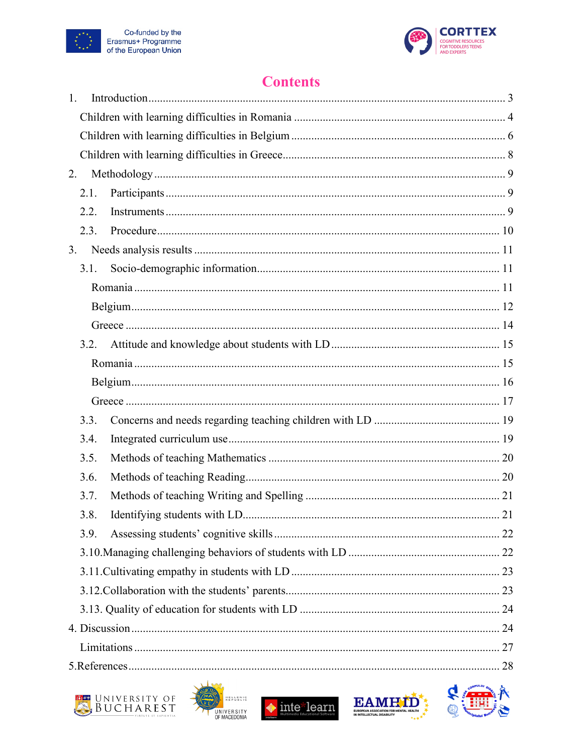



## **Contents**

| 1.   |  |
|------|--|
|      |  |
|      |  |
|      |  |
| 2.   |  |
| 2.1. |  |
| 2.2. |  |
| 2.3. |  |
| 3.   |  |
| 3.1. |  |
|      |  |
|      |  |
|      |  |
| 3.2. |  |
|      |  |
|      |  |
|      |  |
| 3.3. |  |
| 3.4. |  |
| 3.5. |  |
| 3.6. |  |
| 3.7. |  |
| 3.8. |  |
| 3.9. |  |
|      |  |
|      |  |
|      |  |
|      |  |
|      |  |
|      |  |
|      |  |









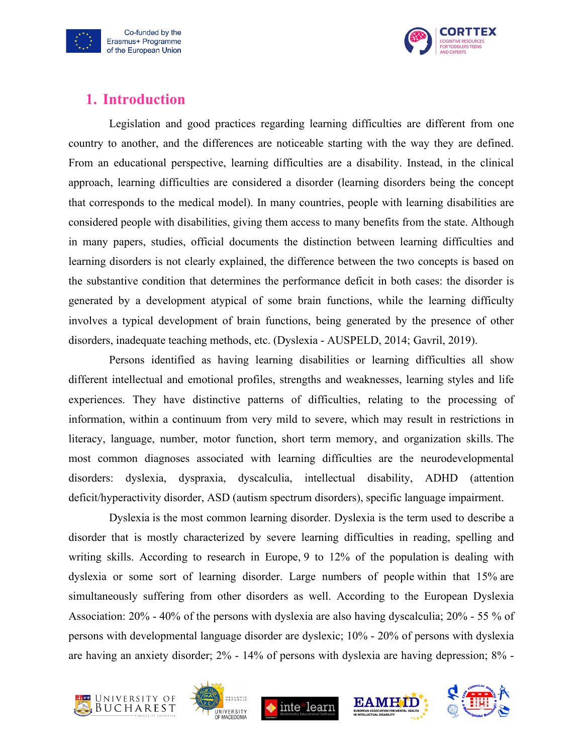



## <span id="page-2-0"></span>**1. Introduction**

Legislation and good practices regarding learning difficulties are different from one country to another, and the differences are noticeable starting with the way they are defined. From an educational perspective, learning difficulties are a disability. Instead, in the clinical approach, learning difficulties are considered a disorder (learning disorders being the concept that corresponds to the medical model). In many countries, people with learning disabilities are considered people with disabilities, giving them access to many benefits from the state. Although in many papers, studies, official documents the distinction between learning difficulties and learning disorders is not clearly explained, the difference between the two concepts is based on the substantive condition that determines the performance deficit in both cases: the disorder is generated by a development atypical of some brain functions, while the learning difficulty involves a typical development of brain functions, being generated by the presence of other disorders, inadequate teaching methods, etc. (Dyslexia - AUSPELD, 2014; Gavril, 2019).

Persons identified as having learning disabilities or learning difficulties all show different intellectual and emotional profiles, strengths and weaknesses, learning styles and life experiences. They have distinctive patterns of difficulties, relating to the processing of information, within a continuum from very mild to severe, which may result in restrictions in literacy, language, number, motor function, short term memory, and organization skills. The most common diagnoses associated with learning difficulties are the neurodevelopmental disorders: dyslexia, dyspraxia, dyscalculia, intellectual disability, ADHD (attention deficit/hyperactivity disorder, ASD (autism spectrum disorders), specific language impairment.

Dyslexia is the most common learning disorder. Dyslexia is the term used to describe a disorder that is mostly characterized by severe learning difficulties in reading, spelling and writing skills. According to research in Europe, 9 to 12% of the population is dealing with dyslexia or some sort of learning disorder. Large numbers of people within that 15% are simultaneously suffering from other disorders as well. According to the European Dyslexia Association: 20% - 40% of the persons with dyslexia are also having dyscalculia; 20% - 55 % of persons with developmental language disorder are dyslexic; 10% - 20% of persons with dyslexia are having an anxiety disorder; 2% - 14% of persons with dyslexia are having depression; 8% -









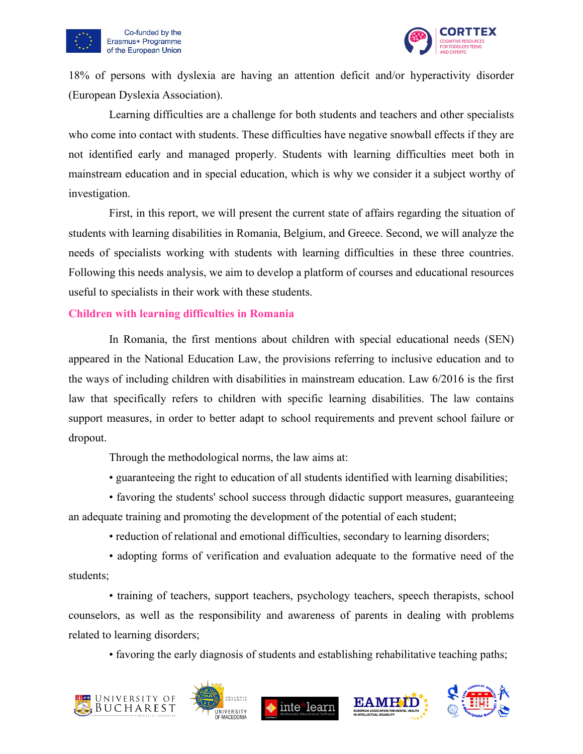



18% of persons with dyslexia are having an attention deficit and/or hyperactivity disorder (European Dyslexia Association).

Learning difficulties are a challenge for both students and teachers and other specialists who come into contact with students. These difficulties have negative snowball effects if they are not identified early and managed properly. Students with learning difficulties meet both in mainstream education and in special education, which is why we consider it a subject worthy of investigation.

First, in this report, we will present the current state of affairs regarding the situation of students with learning disabilities in Romania, Belgium, and Greece. Second, we will analyze the needs of specialists working with students with learning difficulties in these three countries. Following this needs analysis, we aim to develop a platform of courses and educational resources useful to specialists in their work with these students.

#### <span id="page-3-0"></span>**Children with learning difficulties in Romania**

In Romania, the first mentions about children with special educational needs (SEN) appeared in the National Education Law, the provisions referring to inclusive education and to the ways of including children with disabilities in mainstream education. Law 6/2016 is the first law that specifically refers to children with specific learning disabilities. The law contains support measures, in order to better adapt to school requirements and prevent school failure or dropout.

Through the methodological norms, the law aims at:

• guaranteeing the right to education of all students identified with learning disabilities;

• favoring the students' school success through didactic support measures, guaranteeing an adequate training and promoting the development of the potential of each student;

• reduction of relational and emotional difficulties, secondary to learning disorders;

• adopting forms of verification and evaluation adequate to the formative need of the students;

• training of teachers, support teachers, psychology teachers, speech therapists, school counselors, as well as the responsibility and awareness of parents in dealing with problems related to learning disorders;

• favoring the early diagnosis of students and establishing rehabilitative teaching paths;









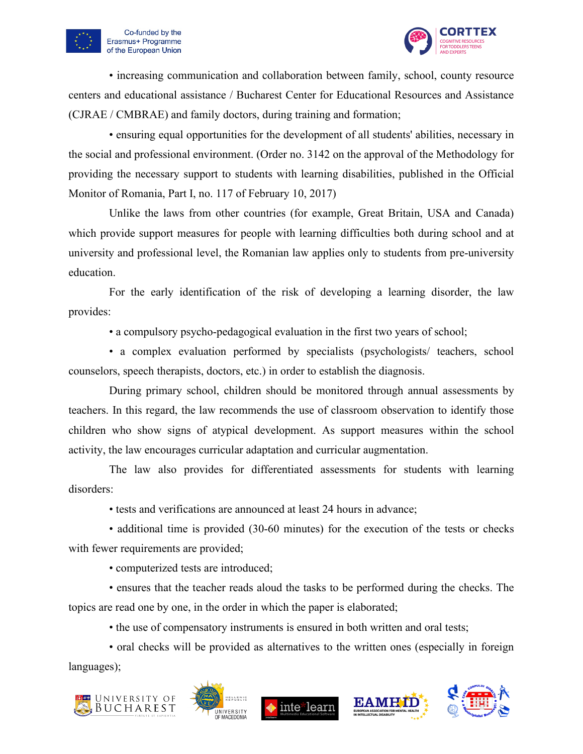



• increasing communication and collaboration between family, school, county resource centers and educational assistance / Bucharest Center for Educational Resources and Assistance (CJRAE / CMBRAE) and family doctors, during training and formation;

• ensuring equal opportunities for the development of all students' abilities, necessary in the social and professional environment. (Order no. 3142 on the approval of the Methodology for providing the necessary support to students with learning disabilities, published in the Official Monitor of Romania, Part I, no. 117 of February 10, 2017)

Unlike the laws from other countries (for example, Great Britain, USA and Canada) which provide support measures for people with learning difficulties both during school and at university and professional level, the Romanian law applies only to students from pre-university education.

For the early identification of the risk of developing a learning disorder, the law provides:

• a compulsory psycho-pedagogical evaluation in the first two years of school;

• a complex evaluation performed by specialists (psychologists/ teachers, school counselors, speech therapists, doctors, etc.) in order to establish the diagnosis.

During primary school, children should be monitored through annual assessments by teachers. In this regard, the law recommends the use of classroom observation to identify those children who show signs of atypical development. As support measures within the school activity, the law encourages curricular adaptation and curricular augmentation.

The law also provides for differentiated assessments for students with learning disorders:

• tests and verifications are announced at least 24 hours in advance;

• additional time is provided (30-60 minutes) for the execution of the tests or checks with fewer requirements are provided;

• computerized tests are introduced;

• ensures that the teacher reads aloud the tasks to be performed during the checks. The topics are read one by one, in the order in which the paper is elaborated;

• the use of compensatory instruments is ensured in both written and oral tests;

• oral checks will be provided as alternatives to the written ones (especially in foreign languages);









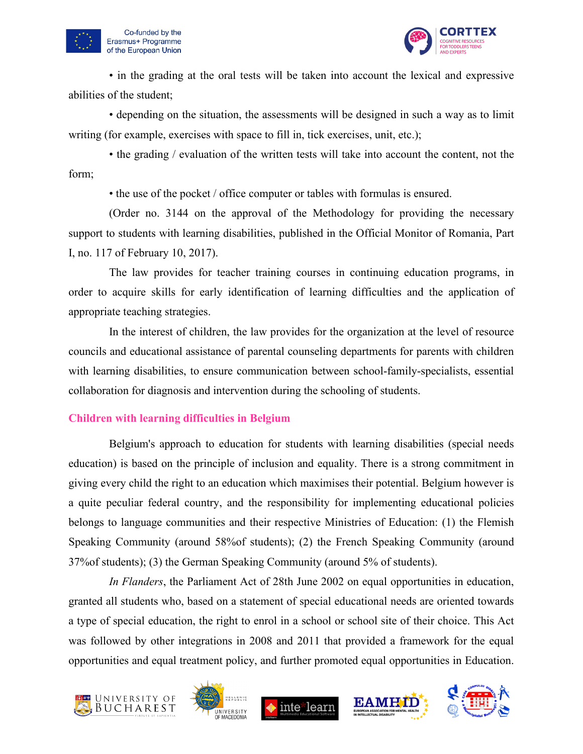



• in the grading at the oral tests will be taken into account the lexical and expressive abilities of the student;

• depending on the situation, the assessments will be designed in such a way as to limit writing (for example, exercises with space to fill in, tick exercises, unit, etc.);

• the grading / evaluation of the written tests will take into account the content, not the form;

• the use of the pocket / office computer or tables with formulas is ensured.

(Order no. 3144 on the approval of the Methodology for providing the necessary support to students with learning disabilities, published in the Official Monitor of Romania, Part I, no. 117 of February 10, 2017).

The law provides for teacher training courses in continuing education programs, in order to acquire skills for early identification of learning difficulties and the application of appropriate teaching strategies.

In the interest of children, the law provides for the organization at the level of resource councils and educational assistance of parental counseling departments for parents with children with learning disabilities, to ensure communication between school-family-specialists, essential collaboration for diagnosis and intervention during the schooling of students.

#### <span id="page-5-0"></span>**Children with learning difficulties in Belgium**

Belgium's approach to education for students with learning disabilities (special needs education) is based on the principle of inclusion and equality. There is a strong commitment in giving every child the right to an education which maximises their potential. Belgium however is a quite peculiar federal country, and the responsibility for implementing educational policies belongs to language communities and their respective Ministries of Education: (1) the Flemish Speaking Community (around 58%of students); (2) the French Speaking Community (around 37%of students); (3) the German Speaking Community (around 5% of students).

*In Flanders*, the Parliament Act of 28th June 2002 on equal opportunities in education, granted all students who, based on a statement of special educational needs are oriented towards a type of special education, the right to enrol in a school or school site of their choice. This Act was followed by other integrations in 2008 and 2011 that provided a framework for the equal opportunities and equal treatment policy, and further promoted equal opportunities in Education.









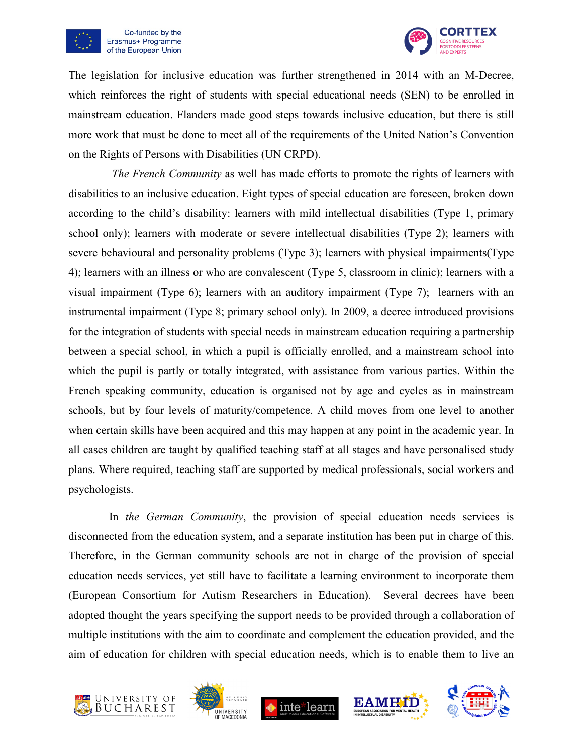



The legislation for inclusive education was further strengthened in 2014 with an M-Decree, which reinforces the right of students with special educational needs (SEN) to be enrolled in mainstream education. Flanders made good steps towards inclusive education, but there is still more work that must be done to meet all of the requirements of the United Nation's Convention on the Rights of Persons with Disabilities (UN CRPD).

*The French Community* as well has made efforts to promote the rights of learners with disabilities to an inclusive education. Eight types of special education are foreseen, broken down according to the child's disability: learners with mild intellectual disabilities (Type 1, primary school only); learners with moderate or severe intellectual disabilities (Type 2); learners with severe behavioural and personality problems (Type 3); learners with physical impairments(Type 4); learners with an illness or who are convalescent (Type 5, classroom in clinic); learners with a visual impairment (Type 6); learners with an auditory impairment (Type 7); learners with an instrumental impairment (Type 8; primary school only). In 2009, a decree introduced provisions for the integration of students with special needs in mainstream education requiring a partnership between a special school, in which a pupil is officially enrolled, and a mainstream school into which the pupil is partly or totally integrated, with assistance from various parties. Within the French speaking community, education is organised not by age and cycles as in mainstream schools, but by four levels of maturity/competence. A child moves from one level to another when certain skills have been acquired and this may happen at any point in the academic year. In all cases children are taught by qualified teaching staff at all stages and have personalised study plans. Where required, teaching staff are supported by medical professionals, social workers and psychologists.

In *the German Community*, the provision of special education needs services is disconnected from the education system, and a separate institution has been put in charge of this. Therefore, in the German community schools are not in charge of the provision of special education needs services, yet still have to facilitate a learning environment to incorporate them (European Consortium for Autism Researchers in Education). Several decrees have been adopted thought the years specifying the support needs to be provided through a collaboration of multiple institutions with the aim to coordinate and complement the education provided, and the aim of education for children with special education needs, which is to enable them to live an









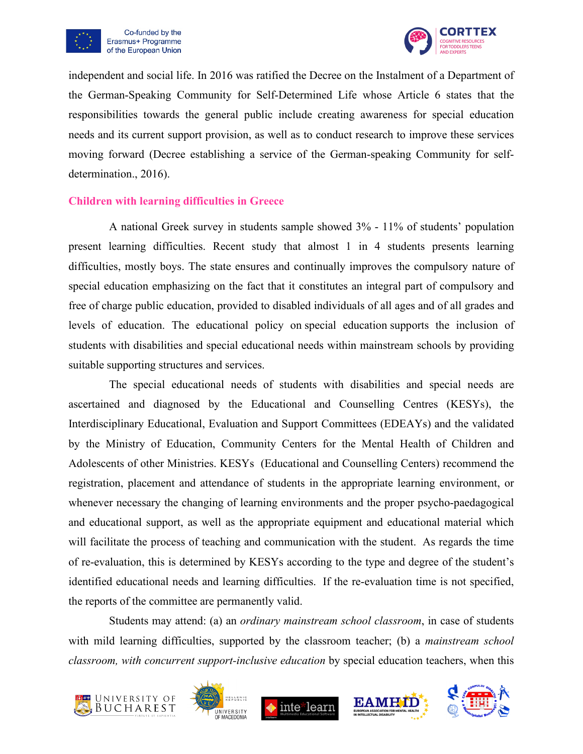



independent and social life. In 2016 was ratified the Decree on the Instalment of a Department of the German-Speaking Community for Self-Determined Life whose Article 6 states that the responsibilities towards the general public include creating awareness for special education needs and its current support provision, as well as to conduct research to improve these services moving forward (Decree establishing a service of the German-speaking Community for selfdetermination., 2016).

#### <span id="page-7-0"></span>**Children with learning difficulties in Greece**

A national Greek survey in students sample showed 3% - 11% of students' population present learning difficulties. Recent study that almost 1 in 4 students presents learning difficulties, mostly boys. The state ensures and continually improves the compulsory nature of special education emphasizing on the fact that it constitutes an integral part of compulsory and free of charge public education, provided to disabled individuals of all ages and of all grades and levels of education. The educational policy on special education supports the inclusion of students with disabilities and special educational needs within mainstream schools by providing suitable supporting structures and services.

The special educational needs of students with disabilities and special needs are ascertained and diagnosed by the Educational and Counselling Centres (KESYs), the Interdisciplinary Educational, Evaluation and Support Committees (EDEAYs) and the validated by the Ministry of Education, Community Centers for the Mental Health of Children and Adolescents of other Ministries. KESYs (Educational and Counselling Centers) recommend the registration, placement and attendance of students in the appropriate learning environment, or whenever necessary the changing of learning environments and the proper psycho-paedagogical and educational support, as well as the appropriate equipment and educational material which will facilitate the process of teaching and communication with the student. As regards the time of re-evaluation, this is determined by KESYs according to the type and degree of the student's identified educational needs and learning difficulties. If the re-evaluation time is not specified, the reports of the committee are permanently valid.

Students may attend: (a) an *ordinary mainstream school classroom*, in case of students with mild learning difficulties, supported by the classroom teacher; (b) a *mainstream school classroom, with concurrent support-inclusive education* by special education teachers, when this









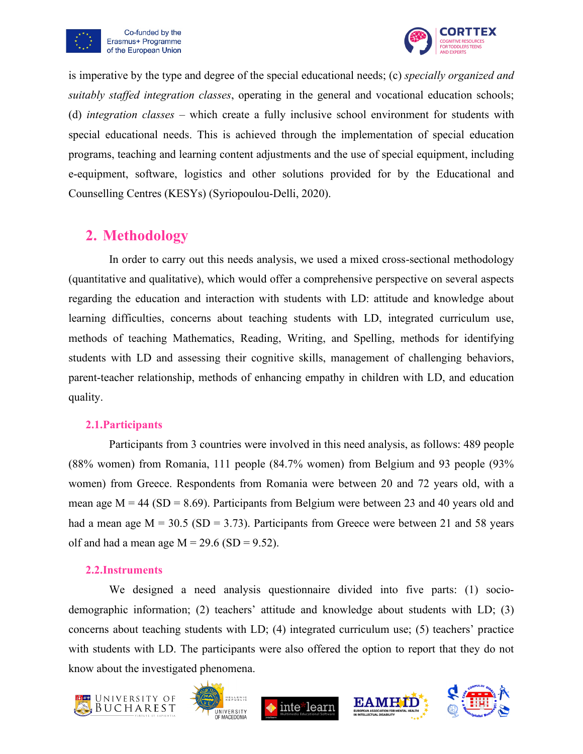



is imperative by the type and degree of the special educational needs; (c) *specially organized and suitably staffed integration classes*, operating in the general and vocational education schools; (d) *integration classes* – which create a fully inclusive school environment for students with special educational needs. This is achieved through the implementation of special education programs, teaching and learning content adjustments and the use of special equipment, including e-equipment, software, logistics and other solutions provided for by the Educational and Counselling Centres (KESYs) (Syriopoulou-Delli, 2020).

## <span id="page-8-0"></span>**2. Methodology**

In order to carry out this needs analysis, we used a mixed cross-sectional methodology (quantitative and qualitative), which would offer a comprehensive perspective on several aspects regarding the education and interaction with students with LD: attitude and knowledge about learning difficulties, concerns about teaching students with LD, integrated curriculum use, methods of teaching Mathematics, Reading, Writing, and Spelling, methods for identifying students with LD and assessing their cognitive skills, management of challenging behaviors, parent-teacher relationship, methods of enhancing empathy in children with LD, and education quality.

#### <span id="page-8-1"></span>**2.1.Participants**

Participants from 3 countries were involved in this need analysis, as follows: 489 people (88% women) from Romania, 111 people (84.7% women) from Belgium and 93 people (93% women) from Greece. Respondents from Romania were between 20 and 72 years old, with a mean age  $M = 44$  (SD = 8.69). Participants from Belgium were between 23 and 40 years old and had a mean age  $M = 30.5$  (SD = 3.73). Participants from Greece were between 21 and 58 years olf and had a mean age  $M = 29.6$  (SD = 9.52).

#### <span id="page-8-2"></span>**2.2.Instruments**

We designed a need analysis questionnaire divided into five parts: (1) sociodemographic information; (2) teachers' attitude and knowledge about students with LD; (3) concerns about teaching students with LD; (4) integrated curriculum use; (5) teachers' practice with students with LD. The participants were also offered the option to report that they do not know about the investigated phenomena.









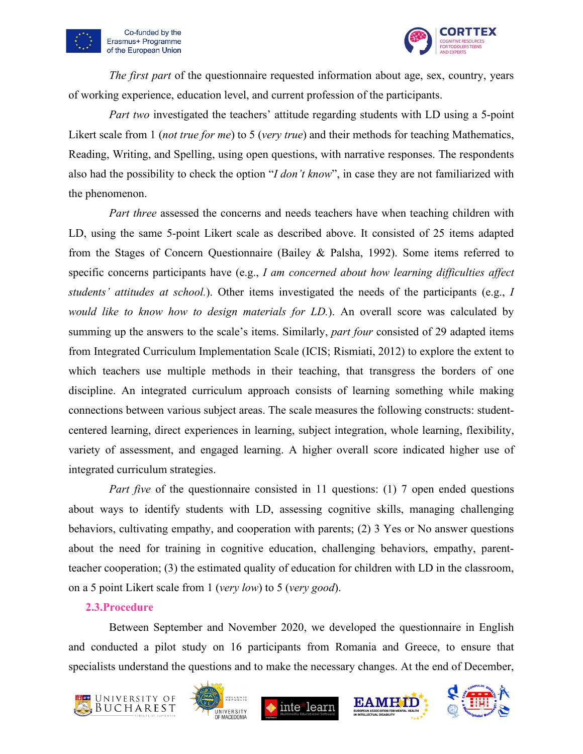



*The first part* of the questionnaire requested information about age, sex, country, years of working experience, education level, and current profession of the participants.

*Part two* investigated the teachers' attitude regarding students with LD using a 5-point Likert scale from 1 (*not true for me*) to 5 (*very true*) and their methods for teaching Mathematics, Reading, Writing, and Spelling, using open questions, with narrative responses. The respondents also had the possibility to check the option "*I don't know*", in case they are not familiarized with the phenomenon.

*Part three* assessed the concerns and needs teachers have when teaching children with LD, using the same 5-point Likert scale as described above. It consisted of 25 items adapted from the Stages of Concern Questionnaire (Bailey & Palsha, 1992). Some items referred to specific concerns participants have (e.g., *I am concerned about how learning difficulties affect students' attitudes at school.*). Other items investigated the needs of the participants (e.g., *I would like to know how to design materials for LD.*). An overall score was calculated by summing up the answers to the scale's items. Similarly, *part four* consisted of 29 adapted items from Integrated Curriculum Implementation Scale (ICIS; Rismiati, 2012) to explore the extent to which teachers use multiple methods in their teaching, that transgress the borders of one discipline. An integrated curriculum approach consists of learning something while making connections between various subject areas. The scale measures the following constructs: studentcentered learning, direct experiences in learning, subject integration, whole learning, flexibility, variety of assessment, and engaged learning. A higher overall score indicated higher use of integrated curriculum strategies.

*Part five* of the questionnaire consisted in 11 questions: (1) 7 open ended questions about ways to identify students with LD, assessing cognitive skills, managing challenging behaviors, cultivating empathy, and cooperation with parents; (2) 3 Yes or No answer questions about the need for training in cognitive education, challenging behaviors, empathy, parentteacher cooperation; (3) the estimated quality of education for children with LD in the classroom, on a 5 point Likert scale from 1 (*very low*) to 5 (*very good*).

#### <span id="page-9-0"></span>**2.3.Procedure**

Between September and November 2020, we developed the questionnaire in English and conducted a pilot study on 16 participants from Romania and Greece, to ensure that specialists understand the questions and to make the necessary changes. At the end of December,









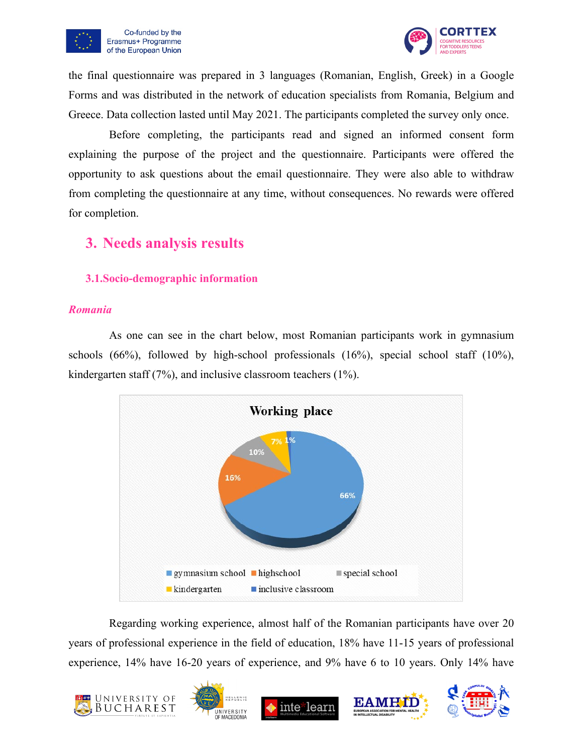



the final questionnaire was prepared in 3 languages (Romanian, English, Greek) in a Google Forms and was distributed in the network of education specialists from Romania, Belgium and Greece. Data collection lasted until May 2021. The participants completed the survey only once.

Before completing, the participants read and signed an informed consent form explaining the purpose of the project and the questionnaire. Participants were offered the opportunity to ask questions about the email questionnaire. They were also able to withdraw from completing the questionnaire at any time, without consequences. No rewards were offered for completion.

## <span id="page-10-0"></span>**3. Needs analysis results**

#### <span id="page-10-1"></span>**3.1.Socio-demographic information**

#### <span id="page-10-2"></span>*Romania*

As one can see in the chart below, most Romanian participants work in gymnasium schools (66%), followed by high-school professionals (16%), special school staff (10%), kindergarten staff (7%), and inclusive classroom teachers (1%).



Regarding working experience, almost half of the Romanian participants have over 20 years of professional experience in the field of education, 18% have 11-15 years of professional experience, 14% have 16-20 years of experience, and 9% have 6 to 10 years. Only 14% have









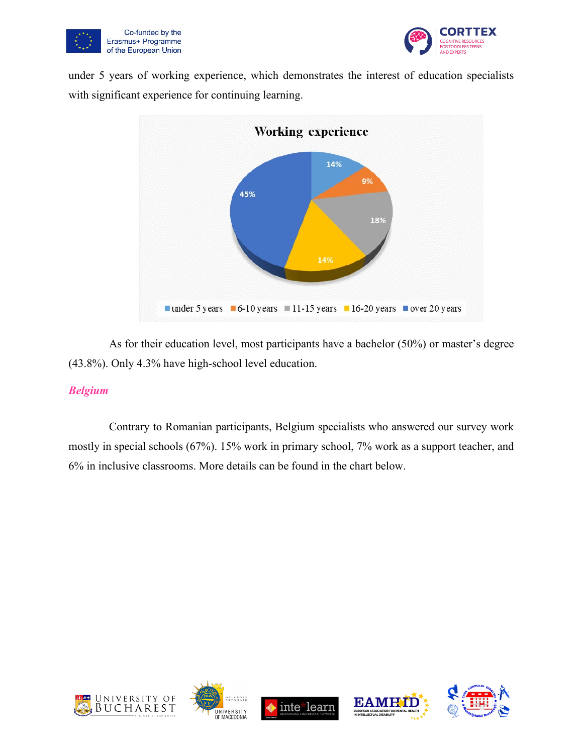



under 5 years of working experience, which demonstrates the interest of education specialists with significant experience for continuing learning.



As for their education level, most participants have a bachelor (50%) or master's degree (43.8%). Only 4.3% have high-school level education.

#### <span id="page-11-0"></span>*Belgium*

Contrary to Romanian participants, Belgium specialists who answered our survey work mostly in special schools (67%). 15% work in primary school, 7% work as a support teacher, and 6% in inclusive classrooms. More details can be found in the chart below.









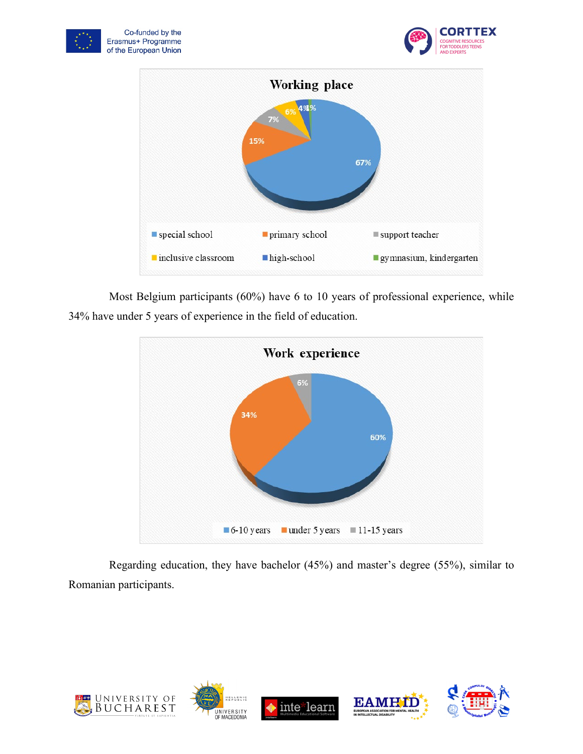





Most Belgium participants (60%) have 6 to 10 years of professional experience, while 34% have under 5 years of experience in the field of education.



Regarding education, they have bachelor (45%) and master's degree (55%), similar to Romanian participants.

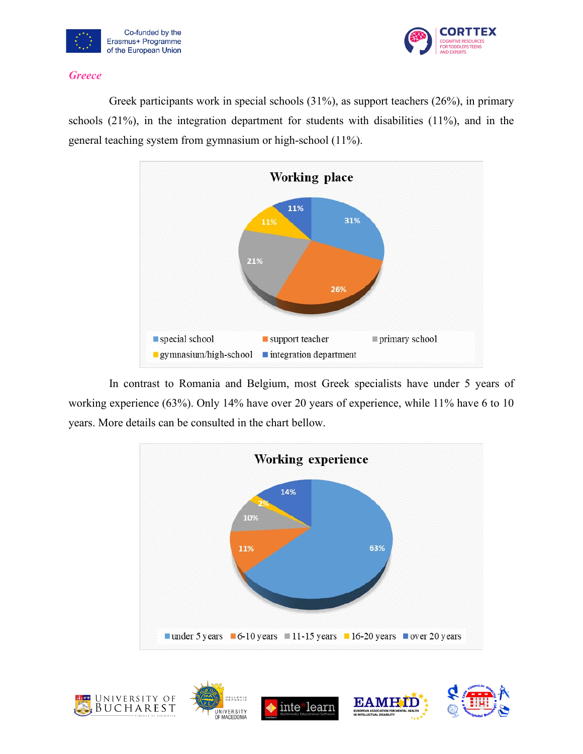



#### <span id="page-13-0"></span>*Greece*

Greek participants work in special schools (31%), as support teachers (26%), in primary schools (21%), in the integration department for students with disabilities (11%), and in the general teaching system from gymnasium or high-school (11%).



In contrast to Romania and Belgium, most Greek specialists have under 5 years of working experience (63%). Only 14% have over 20 years of experience, while 11% have 6 to 10 years. More details can be consulted in the chart bellow.



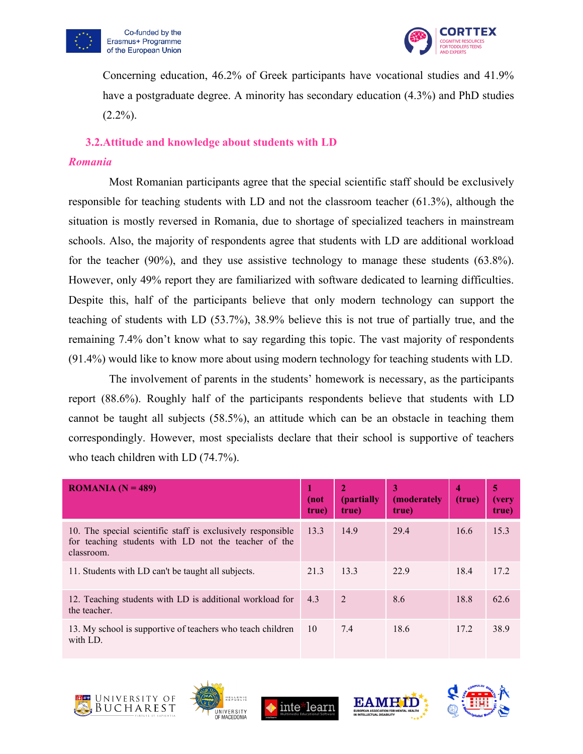



Concerning education, 46.2% of Greek participants have vocational studies and 41.9% have a postgraduate degree. A minority has secondary education (4.3%) and PhD studies  $(2.2\%)$ .

#### <span id="page-14-0"></span>**3.2.Attitude and knowledge about students with LD**

#### <span id="page-14-1"></span>*Romania*

Most Romanian participants agree that the special scientific staff should be exclusively responsible for teaching students with LD and not the classroom teacher (61.3%), although the situation is mostly reversed in Romania, due to shortage of specialized teachers in mainstream schools. Also, the majority of respondents agree that students with LD are additional workload for the teacher (90%), and they use assistive technology to manage these students (63.8%). However, only 49% report they are familiarized with software dedicated to learning difficulties. Despite this, half of the participants believe that only modern technology can support the teaching of students with LD (53.7%), 38.9% believe this is not true of partially true, and the remaining 7.4% don't know what to say regarding this topic. The vast majority of respondents (91.4%) would like to know more about using modern technology for teaching students with LD.

The involvement of parents in the students' homework is necessary, as the participants report (88.6%). Roughly half of the participants respondents believe that students with LD cannot be taught all subjects (58.5%), an attitude which can be an obstacle in teaching them correspondingly. However, most specialists declare that their school is supportive of teachers who teach children with LD (74.7%).

| <b>ROMANIA</b> ( $N = 489$ )                                                                                                      | (not<br>true) | (partially<br>true) | 3<br>(moderately<br>true) | 4<br>(true) | 5<br>(very<br>true) |
|-----------------------------------------------------------------------------------------------------------------------------------|---------------|---------------------|---------------------------|-------------|---------------------|
| 10. The special scientific staff is exclusively responsible<br>for teaching students with LD not the teacher of the<br>classroom. | 13.3          | 14.9                | 29.4                      | 16.6        | 15.3                |
| 11. Students with LD can't be taught all subjects.                                                                                | 21.3          | 13.3                | 22.9                      | 18.4        | 17.2                |
| 12. Teaching students with LD is additional workload for<br>the teacher.                                                          | 4.3           | 2                   | 8.6                       | 18.8        | 62.6                |
| 13. My school is supportive of teachers who teach children<br>with LD.                                                            | <sup>10</sup> | 7.4                 | 18.6                      | 17.2        | 38.9                |









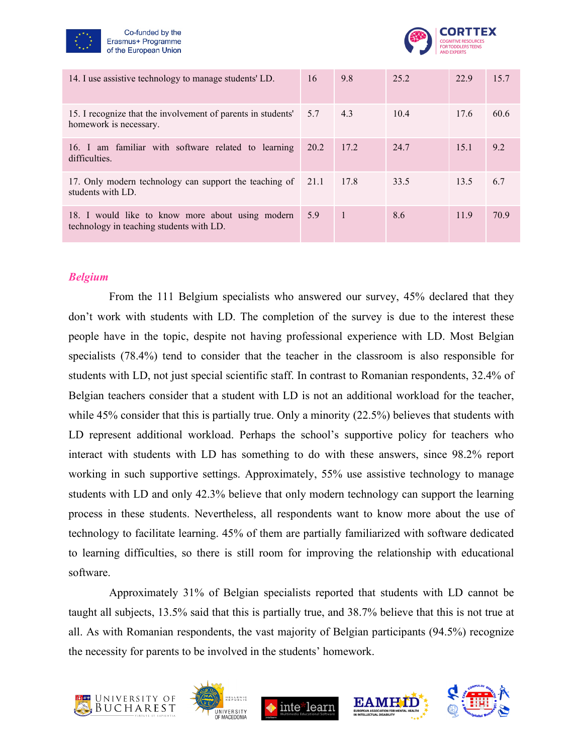



| 14. I use assistive technology to manage students' LD.                                       | 16   | 9.8            | 25.2 | 22.9 | 15.7 |
|----------------------------------------------------------------------------------------------|------|----------------|------|------|------|
| 15. I recognize that the involvement of parents in students'<br>homework is necessary.       | 5.7  | 4.3            | 10.4 | 17.6 | 60.6 |
| 16. I am familiar with software related to learning<br>difficulties.                         | 20.2 | 17.2           | 24.7 | 15.1 | 9.2  |
| 17. Only modern technology can support the teaching of 21.1<br>students with LD.             |      | 17.8           | 33.5 | 13.5 | 6.7  |
| 18. I would like to know more about using modern<br>technology in teaching students with LD. | 5.9  | $\overline{1}$ | 8.6  | 11.9 | 70.9 |

#### <span id="page-15-0"></span>*Belgium*

From the 111 Belgium specialists who answered our survey, 45% declared that they don't work with students with LD. The completion of the survey is due to the interest these people have in the topic, despite not having professional experience with LD. Most Belgian specialists (78.4%) tend to consider that the teacher in the classroom is also responsible for students with LD, not just special scientific staff. In contrast to Romanian respondents, 32.4% of Belgian teachers consider that a student with LD is not an additional workload for the teacher, while 45% consider that this is partially true. Only a minority (22.5%) believes that students with LD represent additional workload. Perhaps the school's supportive policy for teachers who interact with students with LD has something to do with these answers, since 98.2% report working in such supportive settings. Approximately, 55% use assistive technology to manage students with LD and only 42.3% believe that only modern technology can support the learning process in these students. Nevertheless, all respondents want to know more about the use of technology to facilitate learning. 45% of them are partially familiarized with software dedicated to learning difficulties, so there is still room for improving the relationship with educational software.

Approximately 31% of Belgian specialists reported that students with LD cannot be taught all subjects, 13.5% said that this is partially true, and 38.7% believe that this is not true at all. As with Romanian respondents, the vast majority of Belgian participants (94.5%) recognize the necessity for parents to be involved in the students' homework.









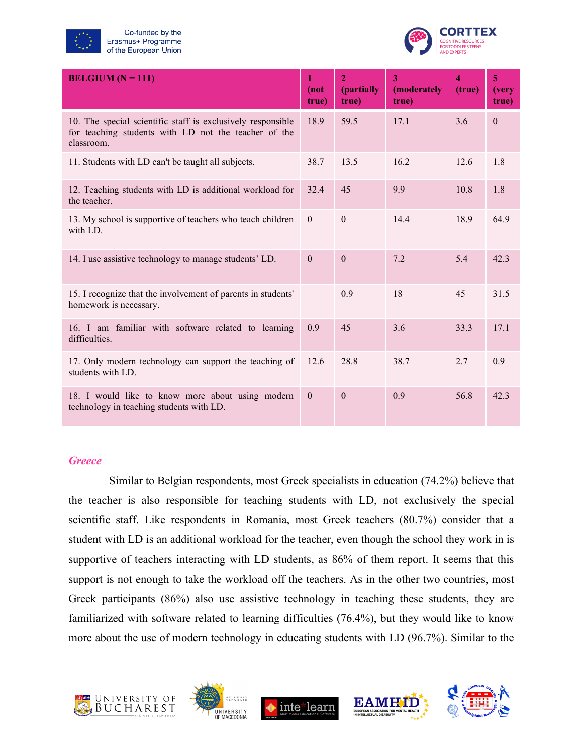



| <b>BELGIUM</b> ( $N = 111$ )                                                                                                      | $\mathbf{1}$<br>(not<br>true) | $\overline{2}$<br>(partially<br>true) | 3<br>(moderately<br>true) | $\overline{\mathbf{4}}$<br>(true) | 5<br>(very<br>true) |
|-----------------------------------------------------------------------------------------------------------------------------------|-------------------------------|---------------------------------------|---------------------------|-----------------------------------|---------------------|
| 10. The special scientific staff is exclusively responsible<br>for teaching students with LD not the teacher of the<br>classroom. | 18.9                          | 59.5                                  | 17.1                      | 3.6                               | $\theta$            |
| 11. Students with LD can't be taught all subjects.                                                                                | 38.7                          | 13.5                                  | 16.2                      | 12.6                              | 1.8                 |
| 12. Teaching students with LD is additional workload for<br>the teacher.                                                          | 32.4                          | 45                                    | 9.9                       | 10.8                              | 1.8                 |
| 13. My school is supportive of teachers who teach children<br>with LD.                                                            | $\boldsymbol{0}$              | $\theta$                              | 14.4                      | 18.9                              | 64.9                |
| 14. I use assistive technology to manage students' LD.                                                                            | $\mathbf{0}$                  | $\theta$                              | 7.2                       | 5.4                               | 42.3                |
| 15. I recognize that the involvement of parents in students'<br>homework is necessary.                                            |                               | 0.9                                   | 18                        | 45                                | 31.5                |
| 16. I am familiar with software related to learning<br>difficulties.                                                              | 0.9                           | 45                                    | 3.6                       | 33.3                              | 17.1                |
| 17. Only modern technology can support the teaching of<br>students with LD.                                                       | 12.6                          | 28.8                                  | 38.7                      | 2.7                               | 0.9                 |
| 18. I would like to know more about using modern<br>technology in teaching students with LD.                                      | $\mathbf{0}$                  | $\mathbf{0}$                          | 0.9                       | 56.8                              | 42.3                |

#### <span id="page-16-0"></span>*Greece*

Similar to Belgian respondents, most Greek specialists in education (74.2%) believe that the teacher is also responsible for teaching students with LD, not exclusively the special scientific staff. Like respondents in Romania, most Greek teachers (80.7%) consider that a student with LD is an additional workload for the teacher, even though the school they work in is supportive of teachers interacting with LD students, as 86% of them report. It seems that this support is not enough to take the workload off the teachers. As in the other two countries, most Greek participants (86%) also use assistive technology in teaching these students, they are familiarized with software related to learning difficulties (76.4%), but they would like to know more about the use of modern technology in educating students with LD (96.7%). Similar to the







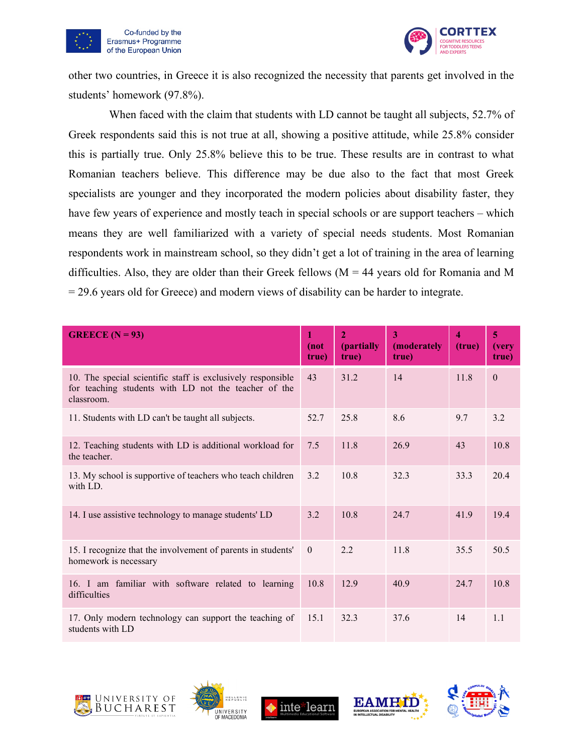



other two countries, in Greece it is also recognized the necessity that parents get involved in the students' homework (97.8%).

When faced with the claim that students with LD cannot be taught all subjects, 52.7% of Greek respondents said this is not true at all, showing a positive attitude, while 25.8% consider this is partially true. Only 25.8% believe this to be true. These results are in contrast to what Romanian teachers believe. This difference may be due also to the fact that most Greek specialists are younger and they incorporated the modern policies about disability faster, they have few years of experience and mostly teach in special schools or are support teachers – which means they are well familiarized with a variety of special needs students. Most Romanian respondents work in mainstream school, so they didn't get a lot of training in the area of learning difficulties. Also, they are older than their Greek fellows ( $M = 44$  years old for Romania and M = 29.6 years old for Greece) and modern views of disability can be harder to integrate.

| <b>GREECE</b> ( $N = 93$ )                                                                                                        | 1<br>(not<br>true) | $\overline{2}$<br>(partially<br>true) | 3<br>(moderately<br>true) | $\overline{\bf 4}$<br>(true) | 5<br><i>(very</i><br>true) |
|-----------------------------------------------------------------------------------------------------------------------------------|--------------------|---------------------------------------|---------------------------|------------------------------|----------------------------|
| 10. The special scientific staff is exclusively responsible<br>for teaching students with LD not the teacher of the<br>classroom. | 43                 | 31.2                                  | 14                        | 11.8                         | $\theta$                   |
| 11. Students with LD can't be taught all subjects.                                                                                | 52.7               | 25.8                                  | 8.6                       | 9.7                          | 3.2                        |
| 12. Teaching students with LD is additional workload for<br>the teacher.                                                          | 7.5                | 11.8                                  | 26.9                      | 43                           | 10.8                       |
| 13. My school is supportive of teachers who teach children<br>with LD.                                                            | 3.2                | 10.8                                  | 32.3                      | 33.3                         | 20.4                       |
| 14. I use assistive technology to manage students' LD                                                                             | 3.2                | 10.8                                  | 24.7                      | 41.9                         | 19.4                       |
| 15. I recognize that the involvement of parents in students'<br>homework is necessary                                             | $\theta$           | 2.2                                   | 11.8                      | 35.5                         | 50.5                       |
| 16. I am familiar with software related to learning<br>difficulties                                                               | 10.8               | 12.9                                  | 40.9                      | 24.7                         | 10.8                       |
| 17. Only modern technology can support the teaching of<br>students with LD                                                        | 15.1               | 32.3                                  | 37.6                      | 14                           | 1.1                        |









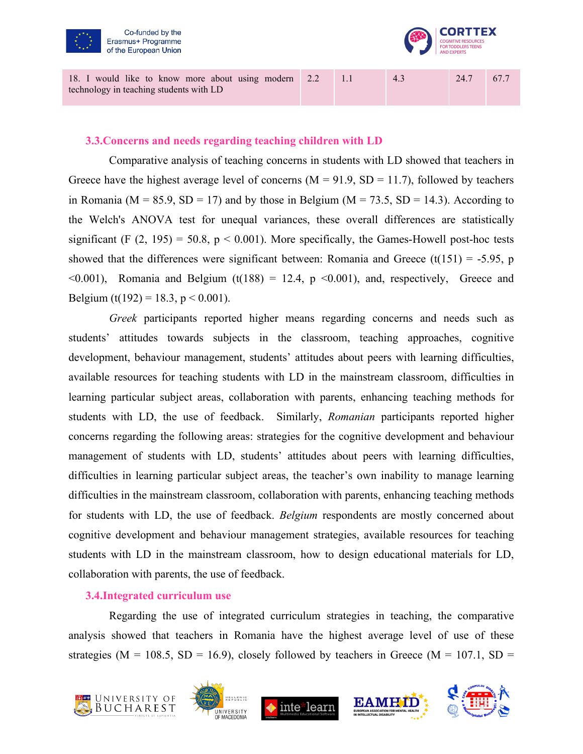



2.2 1.1 4.3 24.7 67.7

#### <span id="page-18-0"></span>**3.3.Concerns and needs regarding teaching children with LD**

Comparative analysis of teaching concerns in students with LD showed that teachers in Greece have the highest average level of concerns  $(M = 91.9, SD = 11.7)$ , followed by teachers in Romania ( $M = 85.9$ ,  $SD = 17$ ) and by those in Belgium ( $M = 73.5$ ,  $SD = 14.3$ ). According to the Welch's ANOVA test for unequal variances, these overall differences are statistically significant (F  $(2, 195) = 50.8$ ,  $p < 0.001$ ). More specifically, the Games-Howell post-hoc tests showed that the differences were significant between: Romania and Greece (t(151) = -5.95, p  $\leq 0.001$ ), Romania and Belgium (t(188) = 12.4, p  $\leq 0.001$ ), and, respectively, Greece and Belgium (t(192) = 18.3,  $p < 0.001$ ).

*Greek* participants reported higher means regarding concerns and needs such as students' attitudes towards subjects in the classroom, teaching approaches, cognitive development, behaviour management, students' attitudes about peers with learning difficulties, available resources for teaching students with LD in the mainstream classroom, difficulties in learning particular subject areas, collaboration with parents, enhancing teaching methods for students with LD, the use of feedback. Similarly, *Romanian* participants reported higher concerns regarding the following areas: strategies for the cognitive development and behaviour management of students with LD, students' attitudes about peers with learning difficulties, difficulties in learning particular subject areas, the teacher's own inability to manage learning difficulties in the mainstream classroom, collaboration with parents, enhancing teaching methods for students with LD, the use of feedback. *Belgium* respondents are mostly concerned about cognitive development and behaviour management strategies, available resources for teaching students with LD in the mainstream classroom, how to design educational materials for LD, collaboration with parents, the use of feedback.

#### <span id="page-18-1"></span>**3.4.Integrated curriculum use**

Regarding the use of integrated curriculum strategies in teaching, the comparative analysis showed that teachers in Romania have the highest average level of use of these strategies (M = 108.5, SD = 16.9), closely followed by teachers in Greece (M = 107.1, SD =







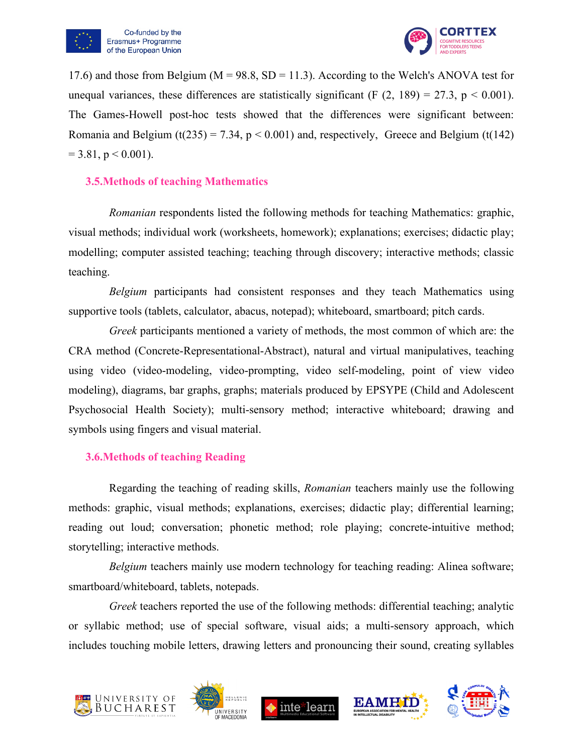



17.6) and those from Belgium ( $M = 98.8$ , SD = 11.3). According to the Welch's ANOVA test for unequal variances, these differences are statistically significant (F  $(2, 189) = 27.3$ , p < 0.001). The Games-Howell post-hoc tests showed that the differences were significant between: Romania and Belgium (t(235) = 7.34,  $p < 0.001$ ) and, respectively, Greece and Belgium (t(142)  $= 3.81$ , p  $\leq 0.001$ ).

#### <span id="page-19-0"></span>**3.5.Methods of teaching Mathematics**

*Romanian* respondents listed the following methods for teaching Mathematics: graphic, visual methods; individual work (worksheets, homework); explanations; exercises; didactic play; modelling; computer assisted teaching; teaching through discovery; interactive methods; classic teaching.

*Belgium* participants had consistent responses and they teach Mathematics using supportive tools (tablets, calculator, abacus, notepad); whiteboard, smartboard; pitch cards.

*Greek* participants mentioned a variety of methods, the most common of which are: the CRA method (Concrete-Representational-Abstract), natural and virtual manipulatives, teaching using video (video-modeling, video-prompting, video self-modeling, point of view video modeling), diagrams, bar graphs, graphs; materials produced by EPSYPE (Child and Adolescent Psychosocial Health Society); multi-sensory method; interactive whiteboard; drawing and symbols using fingers and visual material.

#### <span id="page-19-1"></span>**3.6.Methods of teaching Reading**

Regarding the teaching of reading skills, *Romanian* teachers mainly use the following methods: graphic, visual methods; explanations, exercises; didactic play; differential learning; reading out loud; conversation; phonetic method; role playing; concrete-intuitive method; storytelling; interactive methods.

*Belgium* teachers mainly use modern technology for teaching reading: Alinea software; smartboard/whiteboard, tablets, notepads.

*Greek* teachers reported the use of the following methods: differential teaching; analytic or syllabic method; use of special software, visual aids; a multi-sensory approach, which includes touching mobile letters, drawing letters and pronouncing their sound, creating syllables









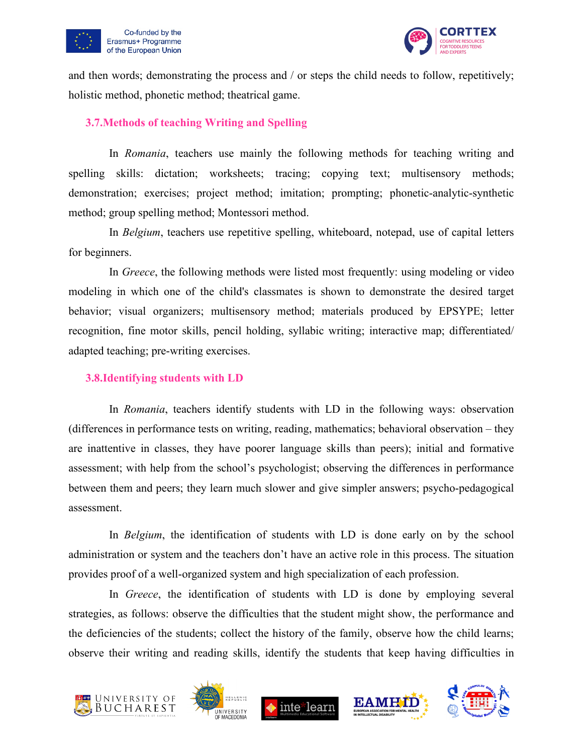



and then words; demonstrating the process and / or steps the child needs to follow, repetitively; holistic method, phonetic method; theatrical game.

#### <span id="page-20-0"></span>**3.7.Methods of teaching Writing and Spelling**

In *Romania*, teachers use mainly the following methods for teaching writing and spelling skills: dictation; worksheets; tracing; copying text; multisensory methods; demonstration; exercises; project method; imitation; prompting; phonetic-analytic-synthetic method; group spelling method; Montessori method.

In *Belgium*, teachers use repetitive spelling, whiteboard, notepad, use of capital letters for beginners.

In *Greece*, the following methods were listed most frequently: using modeling or video modeling in which one of the child's classmates is shown to demonstrate the desired target behavior; visual organizers; multisensory method; materials produced by EPSYPE; letter recognition, fine motor skills, pencil holding, syllabic writing; interactive map; differentiated/ adapted teaching; pre-writing exercises.

#### <span id="page-20-1"></span>**3.8.Identifying students with LD**

In *Romania*, teachers identify students with LD in the following ways: observation (differences in performance tests on writing, reading, mathematics; behavioral observation – they are inattentive in classes, they have poorer language skills than peers); initial and formative assessment; with help from the school's psychologist; observing the differences in performance between them and peers; they learn much slower and give simpler answers; psycho-pedagogical assessment.

In *Belgium*, the identification of students with LD is done early on by the school administration or system and the teachers don't have an active role in this process. The situation provides proof of a well-organized system and high specialization of each profession.

In *Greece*, the identification of students with LD is done by employing several strategies, as follows: observe the difficulties that the student might show, the performance and the deficiencies of the students; collect the history of the family, observe how the child learns; observe their writing and reading skills, identify the students that keep having difficulties in









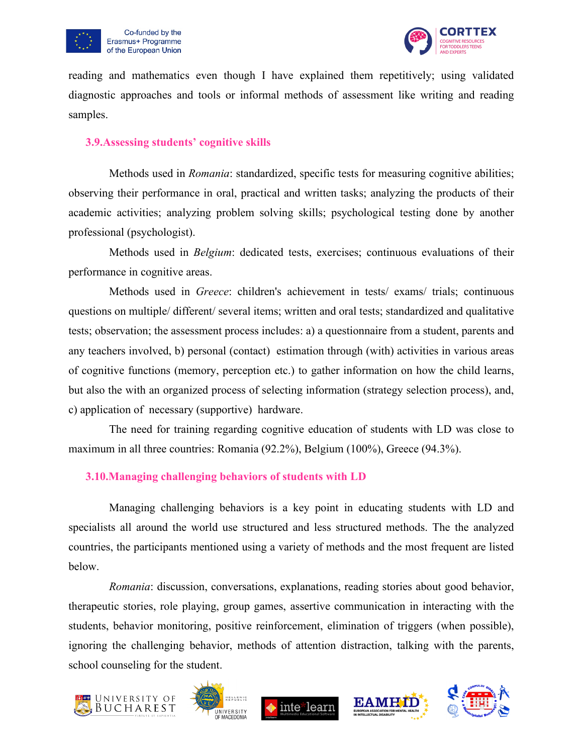



reading and mathematics even though I have explained them repetitively; using validated diagnostic approaches and tools or informal methods of assessment like writing and reading samples.

#### <span id="page-21-0"></span>**3.9.Assessing students' cognitive skills**

Methods used in *Romania*: standardized, specific tests for measuring cognitive abilities; observing their performance in oral, practical and written tasks; analyzing the products of their academic activities; analyzing problem solving skills; psychological testing done by another professional (psychologist).

Methods used in *Belgium*: dedicated tests, exercises; continuous evaluations of their performance in cognitive areas.

Methods used in *Greece*: children's achievement in tests/ exams/ trials; continuous questions on multiple/ different/ several items; written and oral tests; standardized and qualitative tests; observation; the assessment process includes: a) a questionnaire from a student, parents and any teachers involved, b) personal (contact) estimation through (with) activities in various areas of cognitive functions (memory, perception etc.) to gather information on how the child learns, but also the with an organized process of selecting information (strategy selection process), and, c) application of necessary (supportive) hardware.

The need for training regarding cognitive education of students with LD was close to maximum in all three countries: Romania (92.2%), Belgium (100%), Greece (94.3%).

#### <span id="page-21-1"></span>**3.10.Managing challenging behaviors of students with LD**

Managing challenging behaviors is a key point in educating students with LD and specialists all around the world use structured and less structured methods. The the analyzed countries, the participants mentioned using a variety of methods and the most frequent are listed below.

*Romania*: discussion, conversations, explanations, reading stories about good behavior, therapeutic stories, role playing, group games, assertive communication in interacting with the students, behavior monitoring, positive reinforcement, elimination of triggers (when possible), ignoring the challenging behavior, methods of attention distraction, talking with the parents, school counseling for the student.









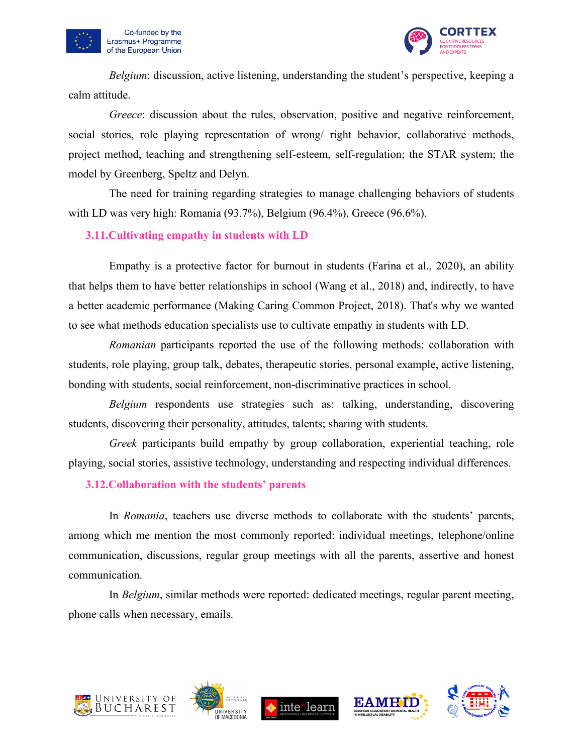



*Belgium*: discussion, active listening, understanding the student's perspective, keeping a calm attitude.

*Greece*: discussion about the rules, observation, positive and negative reinforcement, social stories, role playing representation of wrong/ right behavior, collaborative methods, project method, teaching and strengthening self-esteem, self-regulation; the STAR system; the model by Greenberg, Speltz and Delyn.

The need for training regarding strategies to manage challenging behaviors of students with LD was very high: Romania (93.7%), Belgium (96.4%), Greece (96.6%).

#### <span id="page-22-0"></span>**3.11.Cultivating empathy in students with LD**

Empathy is a protective factor for burnout in students (Farina et al., 2020), an ability that helps them to have better relationships in school (Wang et al., 2018) and, indirectly, to have a better academic performance (Making Caring Common Project, 2018). That's why we wanted to see what methods education specialists use to cultivate empathy in students with LD.

*Romanian* participants reported the use of the following methods: collaboration with students, role playing, group talk, debates, therapeutic stories, personal example, active listening, bonding with students, social reinforcement, non-discriminative practices in school.

*Belgium* respondents use strategies such as: talking, understanding, discovering students, discovering their personality, attitudes, talents; sharing with students.

*Greek* participants build empathy by group collaboration, experiential teaching, role playing, social stories, assistive technology, understanding and respecting individual differences.

<span id="page-22-1"></span>**3.12.Collaboration with the students' parents**

In *Romania*, teachers use diverse methods to collaborate with the students' parents, among which me mention the most commonly reported: individual meetings, telephone/online communication, discussions, regular group meetings with all the parents, assertive and honest communication.

In *Belgium*, similar methods were reported: dedicated meetings, regular parent meeting, phone calls when necessary, emails.









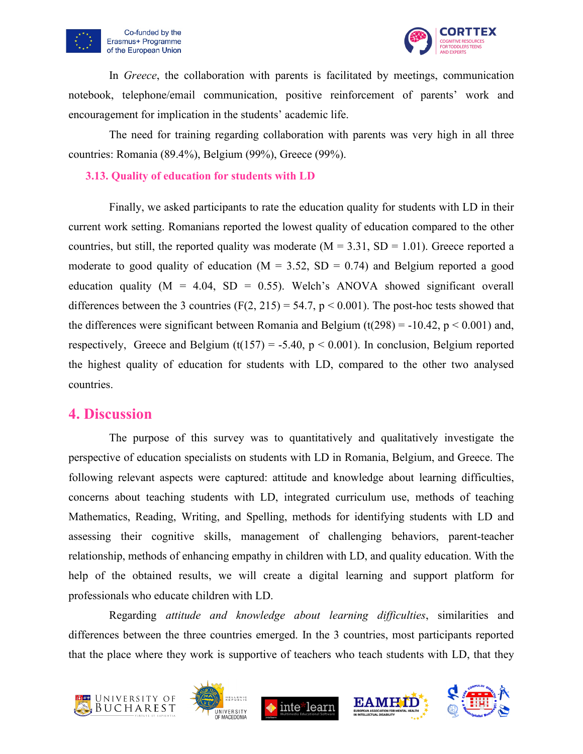



In *Greece*, the collaboration with parents is facilitated by meetings, communication notebook, telephone/email communication, positive reinforcement of parents' work and encouragement for implication in the students' academic life.

The need for training regarding collaboration with parents was very high in all three countries: Romania (89.4%), Belgium (99%), Greece (99%).

#### <span id="page-23-0"></span>**3.13. Quality of education for students with LD**

Finally, we asked participants to rate the education quality for students with LD in their current work setting. Romanians reported the lowest quality of education compared to the other countries, but still, the reported quality was moderate  $(M = 3.31, SD = 1.01)$ . Greece reported a moderate to good quality of education ( $M = 3.52$ ,  $SD = 0.74$ ) and Belgium reported a good education quality ( $M = 4.04$ ,  $SD = 0.55$ ). Welch's ANOVA showed significant overall differences between the 3 countries (F(2, 215) = 54.7,  $p < 0.001$ ). The post-hoc tests showed that the differences were significant between Romania and Belgium (t(298) = -10.42,  $p < 0.001$ ) and, respectively, Greece and Belgium (t(157) = -5.40,  $p < 0.001$ ). In conclusion, Belgium reported the highest quality of education for students with LD, compared to the other two analysed countries.

### <span id="page-23-1"></span>**4. Discussion**

The purpose of this survey was to quantitatively and qualitatively investigate the perspective of education specialists on students with LD in Romania, Belgium, and Greece. The following relevant aspects were captured: attitude and knowledge about learning difficulties, concerns about teaching students with LD, integrated curriculum use, methods of teaching Mathematics, Reading, Writing, and Spelling, methods for identifying students with LD and assessing their cognitive skills, management of challenging behaviors, parent-teacher relationship, methods of enhancing empathy in children with LD, and quality education. With the help of the obtained results, we will create a digital learning and support platform for professionals who educate children with LD.

Regarding *attitude and knowledge about learning difficulties*, similarities and differences between the three countries emerged. In the 3 countries, most participants reported that the place where they work is supportive of teachers who teach students with LD, that they









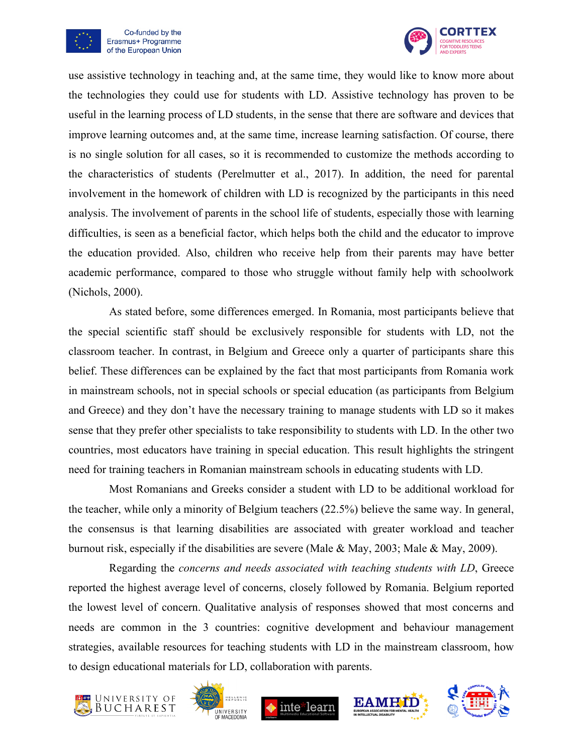



use assistive technology in teaching and, at the same time, they would like to know more about the technologies they could use for students with LD. Assistive technology has proven to be useful in the learning process of LD students, in the sense that there are software and devices that improve learning outcomes and, at the same time, increase learning satisfaction. Of course, there is no single solution for all cases, so it is recommended to customize the methods according to the characteristics of students (Perelmutter et al., 2017). In addition, the need for parental involvement in the homework of children with LD is recognized by the participants in this need analysis. The involvement of parents in the school life of students, especially those with learning difficulties, is seen as a beneficial factor, which helps both the child and the educator to improve the education provided. Also, children who receive help from their parents may have better academic performance, compared to those who struggle without family help with schoolwork (Nichols, 2000).

As stated before, some differences emerged. In Romania, most participants believe that the special scientific staff should be exclusively responsible for students with LD, not the classroom teacher. In contrast, in Belgium and Greece only a quarter of participants share this belief. These differences can be explained by the fact that most participants from Romania work in mainstream schools, not in special schools or special education (as participants from Belgium and Greece) and they don't have the necessary training to manage students with LD so it makes sense that they prefer other specialists to take responsibility to students with LD. In the other two countries, most educators have training in special education. This result highlights the stringent need for training teachers in Romanian mainstream schools in educating students with LD.

Most Romanians and Greeks consider a student with LD to be additional workload for the teacher, while only a minority of Belgium teachers (22.5%) believe the same way. In general, the consensus is that learning disabilities are associated with greater workload and teacher burnout risk, especially if the disabilities are severe (Male & May, 2003; Male & May, 2009).

Regarding the *concerns and needs associated with teaching students with LD*, Greece reported the highest average level of concerns, closely followed by Romania. Belgium reported the lowest level of concern. Qualitative analysis of responses showed that most concerns and needs are common in the 3 countries: cognitive development and behaviour management strategies, available resources for teaching students with LD in the mainstream classroom, how to design educational materials for LD, collaboration with parents.









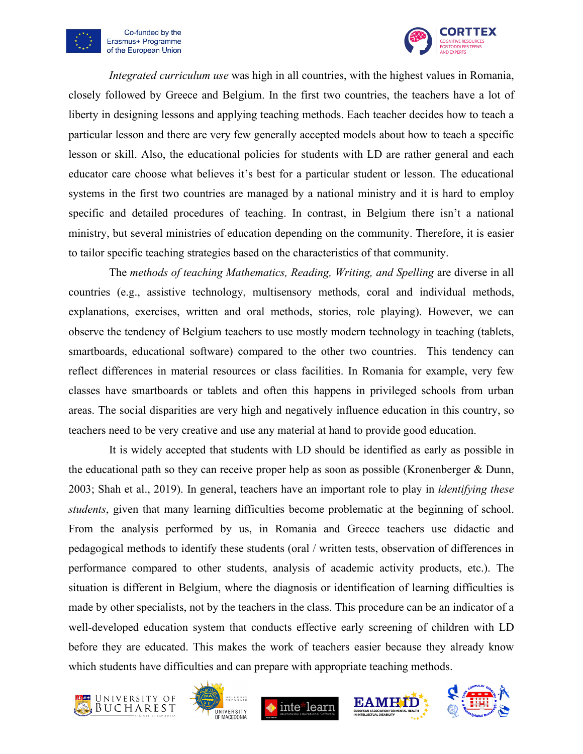



*Integrated curriculum use* was high in all countries, with the highest values in Romania, closely followed by Greece and Belgium. In the first two countries, the teachers have a lot of liberty in designing lessons and applying teaching methods. Each teacher decides how to teach a particular lesson and there are very few generally accepted models about how to teach a specific lesson or skill. Also, the educational policies for students with LD are rather general and each educator care choose what believes it's best for a particular student or lesson. The educational systems in the first two countries are managed by a national ministry and it is hard to employ specific and detailed procedures of teaching. In contrast, in Belgium there isn't a national ministry, but several ministries of education depending on the community. Therefore, it is easier to tailor specific teaching strategies based on the characteristics of that community.

The *methods of teaching Mathematics, Reading, Writing, and Spelling* are diverse in all countries (e.g., assistive technology, multisensory methods, coral and individual methods, explanations, exercises, written and oral methods, stories, role playing). However, we can observe the tendency of Belgium teachers to use mostly modern technology in teaching (tablets, smartboards, educational software) compared to the other two countries. This tendency can reflect differences in material resources or class facilities. In Romania for example, very few classes have smartboards or tablets and often this happens in privileged schools from urban areas. The social disparities are very high and negatively influence education in this country, so teachers need to be very creative and use any material at hand to provide good education.

It is widely accepted that students with LD should be identified as early as possible in the educational path so they can receive proper help as soon as possible (Kronenberger & Dunn, 2003; Shah et al., 2019). In general, teachers have an important role to play in *identifying these students*, given that many learning difficulties become problematic at the beginning of school. From the analysis performed by us, in Romania and Greece teachers use didactic and pedagogical methods to identify these students (oral / written tests, observation of differences in performance compared to other students, analysis of academic activity products, etc.). The situation is different in Belgium, where the diagnosis or identification of learning difficulties is made by other specialists, not by the teachers in the class. This procedure can be an indicator of a well-developed education system that conducts effective early screening of children with LD before they are educated. This makes the work of teachers easier because they already know which students have difficulties and can prepare with appropriate teaching methods.









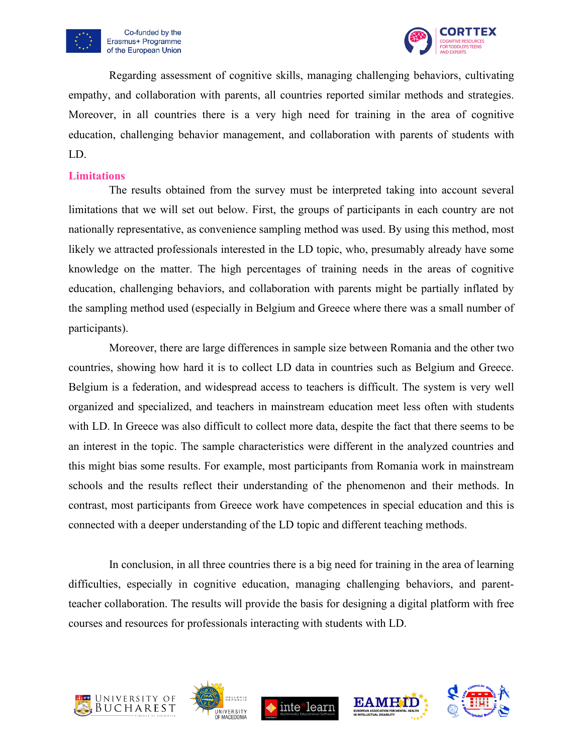





Regarding assessment of cognitive skills, managing challenging behaviors, cultivating empathy, and collaboration with parents, all countries reported similar methods and strategies. Moreover, in all countries there is a very high need for training in the area of cognitive education, challenging behavior management, and collaboration with parents of students with LD.

#### <span id="page-26-0"></span>**Limitations**

The results obtained from the survey must be interpreted taking into account several limitations that we will set out below. First, the groups of participants in each country are not nationally representative, as convenience sampling method was used. By using this method, most likely we attracted professionals interested in the LD topic, who, presumably already have some knowledge on the matter. The high percentages of training needs in the areas of cognitive education, challenging behaviors, and collaboration with parents might be partially inflated by the sampling method used (especially in Belgium and Greece where there was a small number of participants).

Moreover, there are large differences in sample size between Romania and the other two countries, showing how hard it is to collect LD data in countries such as Belgium and Greece. Belgium is a federation, and widespread access to teachers is difficult. The system is very well organized and specialized, and teachers in mainstream education meet less often with students with LD. In Greece was also difficult to collect more data, despite the fact that there seems to be an interest in the topic. The sample characteristics were different in the analyzed countries and this might bias some results. For example, most participants from Romania work in mainstream schools and the results reflect their understanding of the phenomenon and their methods. In contrast, most participants from Greece work have competences in special education and this is connected with a deeper understanding of the LD topic and different teaching methods.

In conclusion, in all three countries there is a big need for training in the area of learning difficulties, especially in cognitive education, managing challenging behaviors, and parentteacher collaboration. The results will provide the basis for designing a digital platform with free courses and resources for professionals interacting with students with LD.









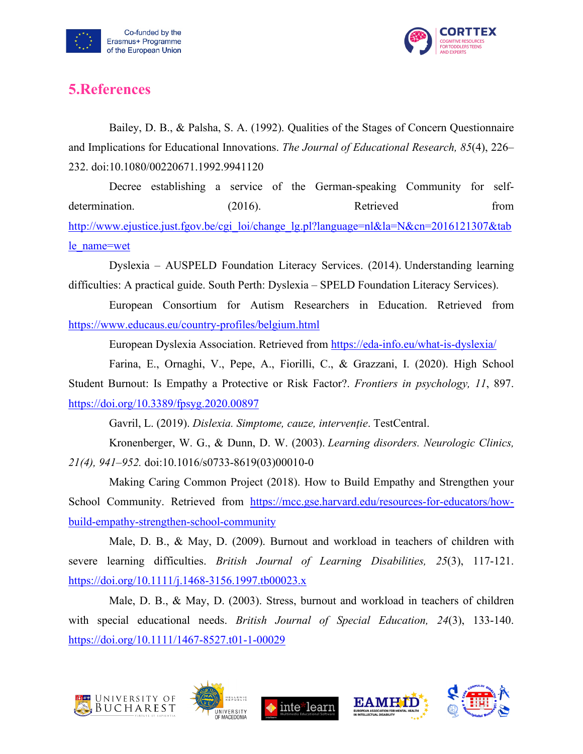



## <span id="page-27-0"></span>**5.References**

Bailey, D. B., & Palsha, S. A. (1992). Qualities of the Stages of Concern Questionnaire and Implications for Educational Innovations. *The Journal of Educational Research, 85*(4), 226– 232. doi:10.1080/00220671.1992.9941120

Decree establishing a service of the German-speaking Community for selfdetermination. (2016). Retrieved from [http://www.ejustice.just.fgov.be/cgi\\_loi/change\\_lg.pl?language=nl&la=N&cn=2016121307&tab](http://www.ejustice.just.fgov.be/cgi_loi/change_lg.pl?language=nl&la=N&cn=2016121307&table_name=wet) [le\\_name=wet](http://www.ejustice.just.fgov.be/cgi_loi/change_lg.pl?language=nl&la=N&cn=2016121307&table_name=wet)

Dyslexia – AUSPELD Foundation Literacy Services. (2014). Understanding learning difficulties: A practical guide. South Perth: Dyslexia – SPELD Foundation Literacy Services).

European Consortium for Autism Researchers in Education. Retrieved from <https://www.educaus.eu/country-profiles/belgium.html>

European Dyslexia Association. Retrieved from<https://eda-info.eu/what-is-dyslexia/>

Farina, E., Ornaghi, V., Pepe, A., Fiorilli, C., & Grazzani, I. (2020). High School Student Burnout: Is Empathy a Protective or Risk Factor?. *Frontiers in psychology, 11*, 897. <https://doi.org/10.3389/fpsyg.2020.00897>

Gavril, L. (2019). *Dislexia. Simptome, cauze, intervenție*. TestCentral.

Kronenberger, W. G., & Dunn, D. W. (2003). *Learning disorders. Neurologic Clinics, 21(4), 941–952.* doi:10.1016/s0733-8619(03)00010-0

Making Caring Common Project (2018). How to Build Empathy and Strengthen your School Community. Retrieved from [https://mcc.gse.harvard.edu/resources-for-educators/how](https://mcc.gse.harvard.edu/resources-for-educators/how-build-empathy-strengthen-school-community)[build-empathy-strengthen-school-community](https://mcc.gse.harvard.edu/resources-for-educators/how-build-empathy-strengthen-school-community)

Male, D. B., & May, D. (2009). Burnout and workload in teachers of children with severe learning difficulties. *British Journal of Learning Disabilities, 25*(3), 117-121. <https://doi.org/10.1111/j.1468-3156.1997.tb00023.x>

Male, D. B., & May, D. (2003). Stress, burnout and workload in teachers of children with special educational needs. *British Journal of Special Education, 24*(3), 133-140. <https://doi.org/10.1111/1467-8527.t01-1-00029>